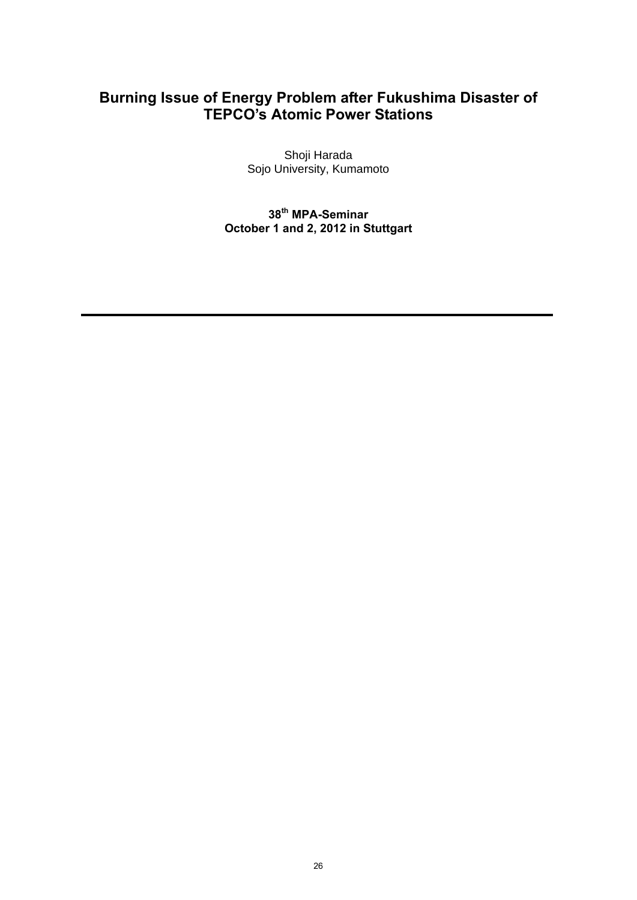## **Burning Issue of Energy Problem after Fukushima Disaster of TEPCO's Atomic Power Stations**

Shoji Harada Sojo University, Kumamoto

**38th MPA-Seminar October 1 and 2, 2012 in Stuttgart**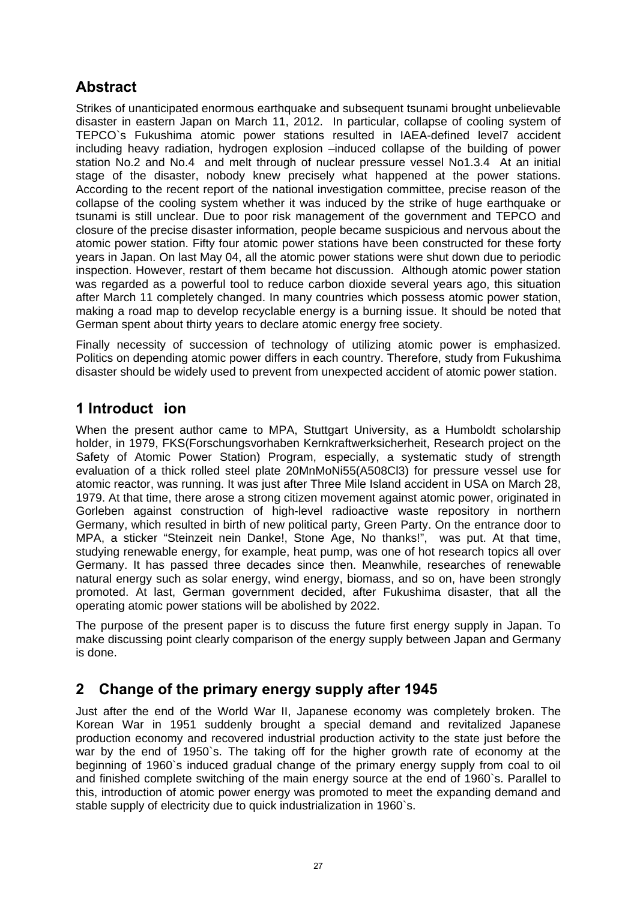# **Abstract**

Strikes of unanticipated enormous earthquake and subsequent tsunami brought unbelievable disaster in eastern Japan on March 11, 2012. In particular, collapse of cooling system of TEPCO`s Fukushima atomic power stations resulted in IAEA-defined level7 accident including heavy radiation, hydrogen explosion –induced collapse of the building of power station No.2 and No.4 and melt through of nuclear pressure vessel No1.3.4 At an initial stage of the disaster, nobody knew precisely what happened at the power stations. According to the recent report of the national investigation committee, precise reason of the collapse of the cooling system whether it was induced by the strike of huge earthquake or tsunami is still unclear. Due to poor risk management of the government and TEPCO and closure of the precise disaster information, people became suspicious and nervous about the atomic power station. Fifty four atomic power stations have been constructed for these forty years in Japan. On last May 04, all the atomic power stations were shut down due to periodic inspection. However, restart of them became hot discussion. Although atomic power station was regarded as a powerful tool to reduce carbon dioxide several years ago, this situation after March 11 completely changed. In many countries which possess atomic power station, making a road map to develop recyclable energy is a burning issue. It should be noted that German spent about thirty years to declare atomic energy free society.

Finally necessity of succession of technology of utilizing atomic power is emphasized. Politics on depending atomic power differs in each country. Therefore, study from Fukushima disaster should be widely used to prevent from unexpected accident of atomic power station.

## **1 Introduct ion**

When the present author came to MPA, Stuttgart University, as a Humboldt scholarship holder, in 1979, FKS(Forschungsvorhaben Kernkraftwerksicherheit, Research project on the Safety of Atomic Power Station) Program, especially, a systematic study of strength evaluation of a thick rolled steel plate 20MnMoNi55(A508Cl3) for pressure vessel use for atomic reactor, was running. It was just after Three Mile Island accident in USA on March 28, 1979. At that time, there arose a strong citizen movement against atomic power, originated in Gorleben against construction of high-level radioactive waste repository in northern Germany, which resulted in birth of new political party, Green Party. On the entrance door to MPA, a sticker "Steinzeit nein Danke!, Stone Age, No thanks!", was put. At that time, studying renewable energy, for example, heat pump, was one of hot research topics all over Germany. It has passed three decades since then. Meanwhile, researches of renewable natural energy such as solar energy, wind energy, biomass, and so on, have been strongly promoted. At last, German government decided, after Fukushima disaster, that all the operating atomic power stations will be abolished by 2022.

The purpose of the present paper is to discuss the future first energy supply in Japan. To make discussing point clearly comparison of the energy supply between Japan and Germany is done.

## **2 Change of the primary energy supply after 1945**

Just after the end of the World War II, Japanese economy was completely broken. The Korean War in 1951 suddenly brought a special demand and revitalized Japanese production economy and recovered industrial production activity to the state just before the war by the end of 1950`s. The taking off for the higher growth rate of economy at the beginning of 1960`s induced gradual change of the primary energy supply from coal to oil and finished complete switching of the main energy source at the end of 1960`s. Parallel to this, introduction of atomic power energy was promoted to meet the expanding demand and stable supply of electricity due to quick industrialization in 1960`s.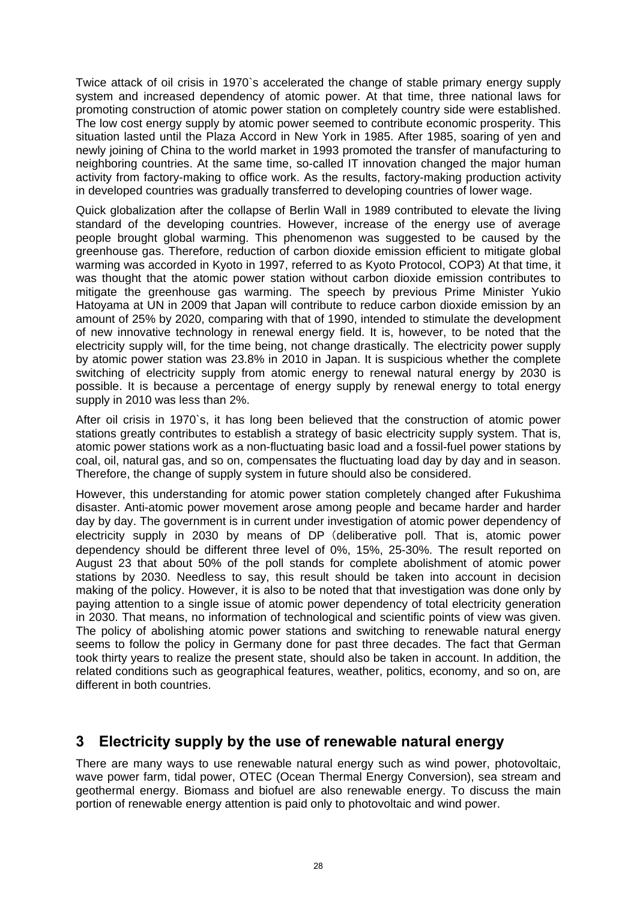Twice attack of oil crisis in 1970`s accelerated the change of stable primary energy supply system and increased dependency of atomic power. At that time, three national laws for promoting construction of atomic power station on completely country side were established. The low cost energy supply by atomic power seemed to contribute economic prosperity. This situation lasted until the Plaza Accord in New York in 1985. After 1985, soaring of yen and newly joining of China to the world market in 1993 promoted the transfer of manufacturing to neighboring countries. At the same time, so-called IT innovation changed the major human activity from factory-making to office work. As the results, factory-making production activity in developed countries was gradually transferred to developing countries of lower wage.

Quick globalization after the collapse of Berlin Wall in 1989 contributed to elevate the living standard of the developing countries. However, increase of the energy use of average people brought global warming. This phenomenon was suggested to be caused by the greenhouse gas. Therefore, reduction of carbon dioxide emission efficient to mitigate global warming was accorded in Kyoto in 1997, referred to as Kyoto Protocol, COP3) At that time, it was thought that the atomic power station without carbon dioxide emission contributes to mitigate the greenhouse gas warming. The speech by previous Prime Minister Yukio Hatoyama at UN in 2009 that Japan will contribute to reduce carbon dioxide emission by an amount of 25% by 2020, comparing with that of 1990, intended to stimulate the development of new innovative technology in renewal energy field. It is, however, to be noted that the electricity supply will, for the time being, not change drastically. The electricity power supply by atomic power station was 23.8% in 2010 in Japan. It is suspicious whether the complete switching of electricity supply from atomic energy to renewal natural energy by 2030 is possible. It is because a percentage of energy supply by renewal energy to total energy supply in 2010 was less than 2%.

After oil crisis in 1970`s, it has long been believed that the construction of atomic power stations greatly contributes to establish a strategy of basic electricity supply system. That is, atomic power stations work as a non-fluctuating basic load and a fossil-fuel power stations by coal, oil, natural gas, and so on, compensates the fluctuating load day by day and in season. Therefore, the change of supply system in future should also be considered.

However, this understanding for atomic power station completely changed after Fukushima disaster. Anti-atomic power movement arose among people and became harder and harder day by day. The government is in current under investigation of atomic power dependency of electricity supply in 2030 by means of DP(deliberative poll. That is, atomic power dependency should be different three level of 0%, 15%, 25-30%. The result reported on August 23 that about 50% of the poll stands for complete abolishment of atomic power stations by 2030. Needless to say, this result should be taken into account in decision making of the policy. However, it is also to be noted that that investigation was done only by paying attention to a single issue of atomic power dependency of total electricity generation in 2030. That means, no information of technological and scientific points of view was given. The policy of abolishing atomic power stations and switching to renewable natural energy seems to follow the policy in Germany done for past three decades. The fact that German took thirty years to realize the present state, should also be taken in account. In addition, the related conditions such as geographical features, weather, politics, economy, and so on, are different in both countries.

#### **3 Electricity supply by the use of renewable natural energy**

There are many ways to use renewable natural energy such as wind power, photovoltaic, wave power farm, tidal power, OTEC (Ocean Thermal Energy Conversion), sea stream and geothermal energy. Biomass and biofuel are also renewable energy. To discuss the main portion of renewable energy attention is paid only to photovoltaic and wind power.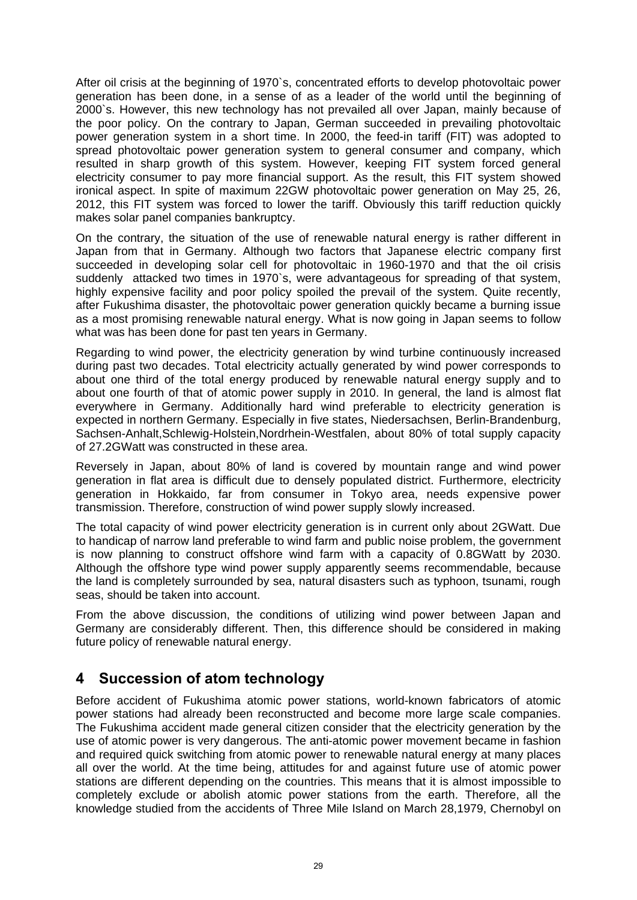After oil crisis at the beginning of 1970`s, concentrated efforts to develop photovoltaic power generation has been done, in a sense of as a leader of the world until the beginning of 2000`s. However, this new technology has not prevailed all over Japan, mainly because of the poor policy. On the contrary to Japan, German succeeded in prevailing photovoltaic power generation system in a short time. In 2000, the feed-in tariff (FIT) was adopted to spread photovoltaic power generation system to general consumer and company, which resulted in sharp growth of this system. However, keeping FIT system forced general electricity consumer to pay more financial support. As the result, this FIT system showed ironical aspect. In spite of maximum 22GW photovoltaic power generation on May 25, 26, 2012, this FIT system was forced to lower the tariff. Obviously this tariff reduction quickly makes solar panel companies bankruptcy.

On the contrary, the situation of the use of renewable natural energy is rather different in Japan from that in Germany. Although two factors that Japanese electric company first succeeded in developing solar cell for photovoltaic in 1960-1970 and that the oil crisis suddenly attacked two times in 1970`s, were advantageous for spreading of that system, highly expensive facility and poor policy spoiled the prevail of the system. Quite recently, after Fukushima disaster, the photovoltaic power generation quickly became a burning issue as a most promising renewable natural energy. What is now going in Japan seems to follow what was has been done for past ten years in Germany.

Regarding to wind power, the electricity generation by wind turbine continuously increased during past two decades. Total electricity actually generated by wind power corresponds to about one third of the total energy produced by renewable natural energy supply and to about one fourth of that of atomic power supply in 2010. In general, the land is almost flat everywhere in Germany. Additionally hard wind preferable to electricity generation is expected in northern Germany. Especially in five states, Niedersachsen, Berlin-Brandenburg, Sachsen-Anhalt,Schlewig-Holstein,Nordrhein-Westfalen, about 80% of total supply capacity of 27.2GWatt was constructed in these area.

Reversely in Japan, about 80% of land is covered by mountain range and wind power generation in flat area is difficult due to densely populated district. Furthermore, electricity generation in Hokkaido, far from consumer in Tokyo area, needs expensive power transmission. Therefore, construction of wind power supply slowly increased.

The total capacity of wind power electricity generation is in current only about 2GWatt. Due to handicap of narrow land preferable to wind farm and public noise problem, the government is now planning to construct offshore wind farm with a capacity of 0.8GWatt by 2030. Although the offshore type wind power supply apparently seems recommendable, because the land is completely surrounded by sea, natural disasters such as typhoon, tsunami, rough seas, should be taken into account.

From the above discussion, the conditions of utilizing wind power between Japan and Germany are considerably different. Then, this difference should be considered in making future policy of renewable natural energy.

#### **4 Succession of atom technology**

Before accident of Fukushima atomic power stations, world-known fabricators of atomic power stations had already been reconstructed and become more large scale companies. The Fukushima accident made general citizen consider that the electricity generation by the use of atomic power is very dangerous. The anti-atomic power movement became in fashion and required quick switching from atomic power to renewable natural energy at many places all over the world. At the time being, attitudes for and against future use of atomic power stations are different depending on the countries. This means that it is almost impossible to completely exclude or abolish atomic power stations from the earth. Therefore, all the knowledge studied from the accidents of Three Mile Island on March 28,1979, Chernobyl on